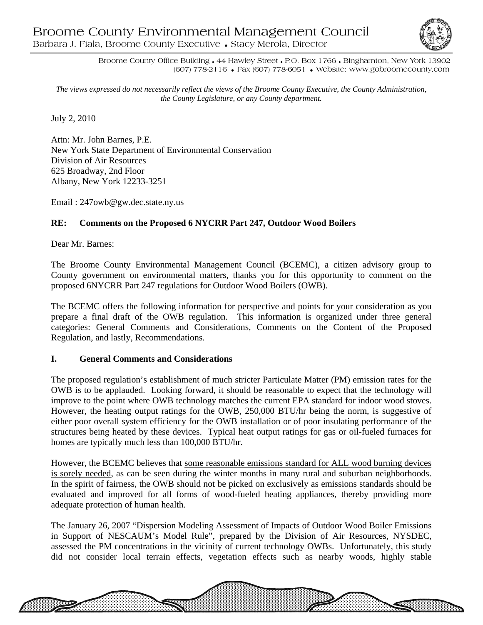

Broome County Office Building • 44 Hawley Street • P.O. Box 1766 • Binghamton, New York 13902 (607) 778-2116 • Fax (607) 778-6051 • Website: www.gobroomecounty.com

*The views expressed do not necessarily reflect the views of the Broome County Executive, the County Administration, the County Legislature, or any County department.* 

July 2, 2010

Attn: Mr. John Barnes, P.E. New York State Department of Environmental Conservation Division of Air Resources 625 Broadway, 2nd Floor Albany, New York 12233-3251

Email : 247owb@gw.dec.state.ny.us

# **RE: Comments on the Proposed 6 NYCRR Part 247, Outdoor Wood Boilers**

Dear Mr. Barnes:

The Broome County Environmental Management Council (BCEMC), a citizen advisory group to County government on environmental matters, thanks you for this opportunity to comment on the proposed 6NYCRR Part 247 regulations for Outdoor Wood Boilers (OWB).

The BCEMC offers the following information for perspective and points for your consideration as you prepare a final draft of the OWB regulation. This information is organized under three general categories: General Comments and Considerations, Comments on the Content of the Proposed Regulation, and lastly, Recommendations.

## **I. General Comments and Considerations**

The proposed regulation's establishment of much stricter Particulate Matter (PM) emission rates for the OWB is to be applauded. Looking forward, it should be reasonable to expect that the technology will improve to the point where OWB technology matches the current EPA standard for indoor wood stoves. However, the heating output ratings for the OWB, 250,000 BTU/hr being the norm, is suggestive of either poor overall system efficiency for the OWB installation or of poor insulating performance of the structures being heated by these devices. Typical heat output ratings for gas or oil-fueled furnaces for homes are typically much less than 100,000 BTU/hr.

However, the BCEMC believes that some reasonable emissions standard for ALL wood burning devices is sorely needed, as can be seen during the winter months in many rural and suburban neighborhoods. In the spirit of fairness, the OWB should not be picked on exclusively as emissions standards should be evaluated and improved for all forms of wood-fueled heating appliances, thereby providing more adequate protection of human health.

The January 26, 2007 "Dispersion Modeling Assessment of Impacts of Outdoor Wood Boiler Emissions in Support of NESCAUM's Model Rule", prepared by the Division of Air Resources, NYSDEC, assessed the PM concentrations in the vicinity of current technology OWBs. Unfortunately, this study did not consider local terrain effects, vegetation effects such as nearby woods, highly stable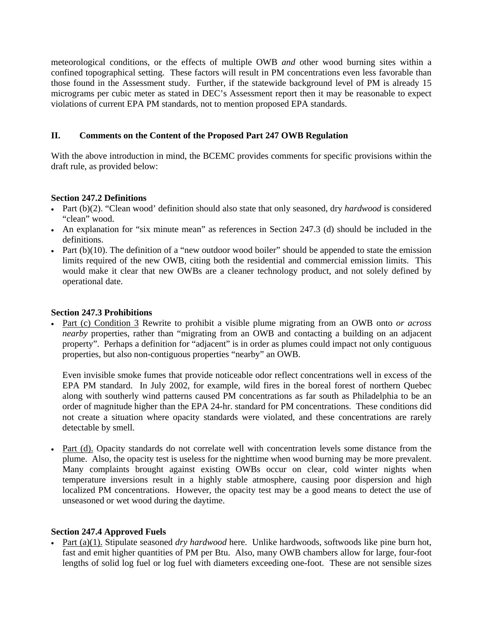meteorological conditions, or the effects of multiple OWB *and* other wood burning sites within a confined topographical setting. These factors will result in PM concentrations even less favorable than those found in the Assessment study. Further, if the statewide background level of PM is already 15 micrograms per cubic meter as stated in DEC's Assessment report then it may be reasonable to expect violations of current EPA PM standards, not to mention proposed EPA standards.

# **II. Comments on the Content of the Proposed Part 247 OWB Regulation**

With the above introduction in mind, the BCEMC provides comments for specific provisions within the draft rule, as provided below:

### **Section 247.2 Definitions**

- Part (b)(2). "Clean wood' definition should also state that only seasoned, dry *hardwood* is considered "clean" wood.
- An explanation for "six minute mean" as references in Section 247.3 (d) should be included in the definitions.
- Part  $(b)(10)$ . The definition of a "new outdoor wood boiler" should be appended to state the emission limits required of the new OWB, citing both the residential and commercial emission limits. This would make it clear that new OWBs are a cleaner technology product, and not solely defined by operational date.

### **Section 247.3 Prohibitions**

• Part (c) Condition 3 Rewrite to prohibit a visible plume migrating from an OWB onto *or across nearby* properties, rather than "migrating from an OWB and contacting a building on an adjacent property". Perhaps a definition for "adjacent" is in order as plumes could impact not only contiguous properties, but also non-contiguous properties "nearby" an OWB.

Even invisible smoke fumes that provide noticeable odor reflect concentrations well in excess of the EPA PM standard. In July 2002, for example, wild fires in the boreal forest of northern Quebec along with southerly wind patterns caused PM concentrations as far south as Philadelphia to be an order of magnitude higher than the EPA 24-hr. standard for PM concentrations. These conditions did not create a situation where opacity standards were violated, and these concentrations are rarely detectable by smell.

• Part (d). Opacity standards do not correlate well with concentration levels some distance from the plume. Also, the opacity test is useless for the nighttime when wood burning may be more prevalent. Many complaints brought against existing OWBs occur on clear, cold winter nights when temperature inversions result in a highly stable atmosphere, causing poor dispersion and high localized PM concentrations. However, the opacity test may be a good means to detect the use of unseasoned or wet wood during the daytime.

## **Section 247.4 Approved Fuels**

• Part (a)(1). Stipulate seasoned *dry hardwood* here. Unlike hardwoods, softwoods like pine burn hot, fast and emit higher quantities of PM per Btu. Also, many OWB chambers allow for large, four-foot lengths of solid log fuel or log fuel with diameters exceeding one-foot. These are not sensible sizes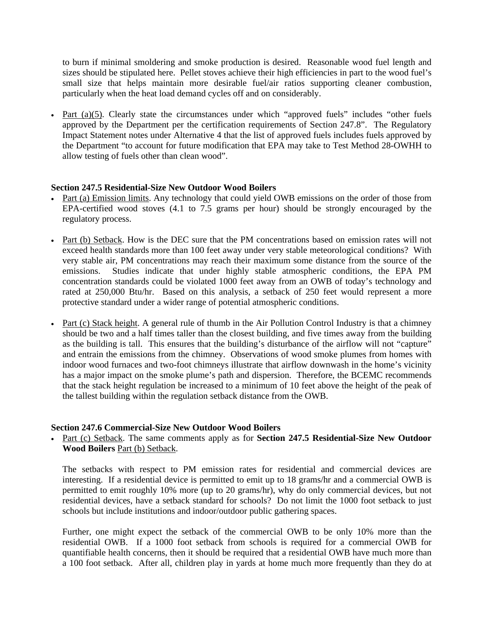to burn if minimal smoldering and smoke production is desired. Reasonable wood fuel length and sizes should be stipulated here. Pellet stoves achieve their high efficiencies in part to the wood fuel's small size that helps maintain more desirable fuel/air ratios supporting cleaner combustion, particularly when the heat load demand cycles off and on considerably.

• Part (a)(5). Clearly state the circumstances under which "approved fuels" includes "other fuels approved by the Department per the certification requirements of Section 247.8". The Regulatory Impact Statement notes under Alternative 4 that the list of approved fuels includes fuels approved by the Department "to account for future modification that EPA may take to Test Method 28-OWHH to allow testing of fuels other than clean wood".

## **Section 247.5 Residential-Size New Outdoor Wood Boilers**

- Part (a) Emission limits. Any technology that could yield OWB emissions on the order of those from EPA-certified wood stoves (4.1 to 7.5 grams per hour) should be strongly encouraged by the regulatory process.
- Part (b) Setback. How is the DEC sure that the PM concentrations based on emission rates will not exceed health standards more than 100 feet away under very stable meteorological conditions? With very stable air, PM concentrations may reach their maximum some distance from the source of the emissions. Studies indicate that under highly stable atmospheric conditions, the EPA PM concentration standards could be violated 1000 feet away from an OWB of today's technology and rated at 250,000 Btu/hr. Based on this analysis, a setback of 250 feet would represent a more protective standard under a wider range of potential atmospheric conditions.
- Part (c) Stack height. A general rule of thumb in the Air Pollution Control Industry is that a chimney should be two and a half times taller than the closest building, and five times away from the building as the building is tall. This ensures that the building's disturbance of the airflow will not "capture" and entrain the emissions from the chimney. Observations of wood smoke plumes from homes with indoor wood furnaces and two-foot chimneys illustrate that airflow downwash in the home's vicinity has a major impact on the smoke plume's path and dispersion. Therefore, the BCEMC recommends that the stack height regulation be increased to a minimum of 10 feet above the height of the peak of the tallest building within the regulation setback distance from the OWB.

#### **Section 247.6 Commercial-Size New Outdoor Wood Boilers**

• Part (c) Setback. The same comments apply as for **Section 247.5 Residential-Size New Outdoor Wood Boilers** Part (b) Setback.

The setbacks with respect to PM emission rates for residential and commercial devices are interesting. If a residential device is permitted to emit up to 18 grams/hr and a commercial OWB is permitted to emit roughly 10% more (up to 20 grams/hr), why do only commercial devices, but not residential devices, have a setback standard for schools? Do not limit the 1000 foot setback to just schools but include institutions and indoor/outdoor public gathering spaces.

Further, one might expect the setback of the commercial OWB to be only 10% more than the residential OWB. If a 1000 foot setback from schools is required for a commercial OWB for quantifiable health concerns, then it should be required that a residential OWB have much more than a 100 foot setback. After all, children play in yards at home much more frequently than they do at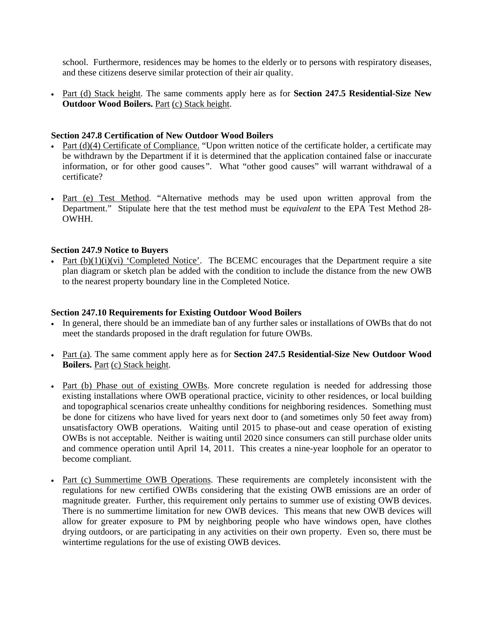school. Furthermore, residences may be homes to the elderly or to persons with respiratory diseases, and these citizens deserve similar protection of their air quality.

• Part (d) Stack height. The same comments apply here as for **Section 247.5 Residential-Size New Outdoor Wood Boilers.** Part (c) Stack height.

## **Section 247.8 Certification of New Outdoor Wood Boilers**

- Part  $(d)(4)$  Certificate of Compliance. "Upon written notice of the certificate holder, a certificate may be withdrawn by the Department if it is determined that the application contained false or inaccurate information, or for other good causes*".* What "other good causes" will warrant withdrawal of a certificate?
- Part (e) Test Method. "Alternative methods may be used upon written approval from the Department." Stipulate here that the test method must be *equivalent* to the EPA Test Method 28- OWHH.

#### **Section 247.9 Notice to Buyers**

• Part  $(b)(1)(i)(vi)$  'Completed Notice'. The BCEMC encourages that the Department require a site plan diagram or sketch plan be added with the condition to include the distance from the new OWB to the nearest property boundary line in the Completed Notice.

### **Section 247.10 Requirements for Existing Outdoor Wood Boilers**

- In general, there should be an immediate ban of any further sales or installations of OWBs that do not meet the standards proposed in the draft regulation for future OWBs.
- Part (a). The same comment apply here as for **Section 247.5 Residential-Size New Outdoor Wood Boilers.** Part (c) Stack height.
- Part (b) Phase out of existing OWBs. More concrete regulation is needed for addressing those existing installations where OWB operational practice, vicinity to other residences, or local building and topographical scenarios create unhealthy conditions for neighboring residences. Something must be done for citizens who have lived for years next door to (and sometimes only 50 feet away from) unsatisfactory OWB operations. Waiting until 2015 to phase-out and cease operation of existing OWBs is not acceptable. Neither is waiting until 2020 since consumers can still purchase older units and commence operation until April 14, 2011. This creates a nine-year loophole for an operator to become compliant.
- Part (c) Summertime OWB Operations. These requirements are completely inconsistent with the regulations for new certified OWBs considering that the existing OWB emissions are an order of magnitude greater. Further, this requirement only pertains to summer use of existing OWB devices. There is no summertime limitation for new OWB devices. This means that new OWB devices will allow for greater exposure to PM by neighboring people who have windows open, have clothes drying outdoors, or are participating in any activities on their own property. Even so, there must be wintertime regulations for the use of existing OWB devices.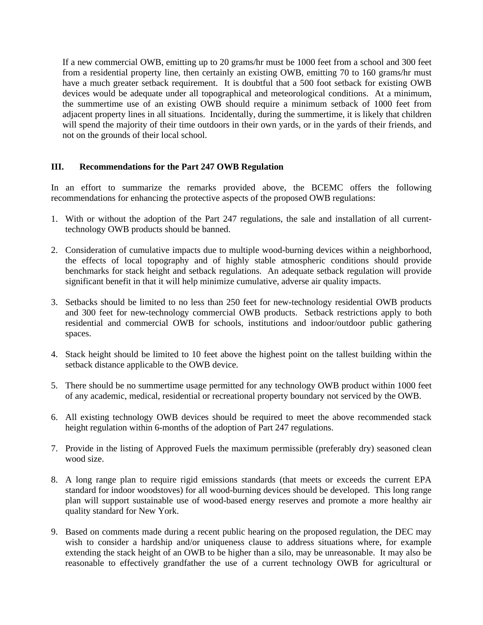If a new commercial OWB, emitting up to 20 grams/hr must be 1000 feet from a school and 300 feet from a residential property line, then certainly an existing OWB, emitting 70 to 160 grams/hr must have a much greater setback requirement. It is doubtful that a 500 foot setback for existing OWB devices would be adequate under all topographical and meteorological conditions. At a minimum, the summertime use of an existing OWB should require a minimum setback of 1000 feet from adjacent property lines in all situations. Incidentally, during the summertime, it is likely that children will spend the majority of their time outdoors in their own yards, or in the yards of their friends, and not on the grounds of their local school.

# **III. Recommendations for the Part 247 OWB Regulation**

In an effort to summarize the remarks provided above, the BCEMC offers the following recommendations for enhancing the protective aspects of the proposed OWB regulations:

- 1. With or without the adoption of the Part 247 regulations, the sale and installation of all currenttechnology OWB products should be banned.
- 2. Consideration of cumulative impacts due to multiple wood-burning devices within a neighborhood, the effects of local topography and of highly stable atmospheric conditions should provide benchmarks for stack height and setback regulations. An adequate setback regulation will provide significant benefit in that it will help minimize cumulative, adverse air quality impacts.
- 3. Setbacks should be limited to no less than 250 feet for new-technology residential OWB products and 300 feet for new-technology commercial OWB products. Setback restrictions apply to both residential and commercial OWB for schools, institutions and indoor/outdoor public gathering spaces.
- 4. Stack height should be limited to 10 feet above the highest point on the tallest building within the setback distance applicable to the OWB device.
- 5. There should be no summertime usage permitted for any technology OWB product within 1000 feet of any academic, medical, residential or recreational property boundary not serviced by the OWB.
- 6. All existing technology OWB devices should be required to meet the above recommended stack height regulation within 6-months of the adoption of Part 247 regulations.
- 7. Provide in the listing of Approved Fuels the maximum permissible (preferably dry) seasoned clean wood size.
- 8. A long range plan to require rigid emissions standards (that meets or exceeds the current EPA standard for indoor woodstoves) for all wood-burning devices should be developed. This long range plan will support sustainable use of wood-based energy reserves and promote a more healthy air quality standard for New York.
- 9. Based on comments made during a recent public hearing on the proposed regulation, the DEC may wish to consider a hardship and/or uniqueness clause to address situations where, for example extending the stack height of an OWB to be higher than a silo, may be unreasonable. It may also be reasonable to effectively grandfather the use of a current technology OWB for agricultural or